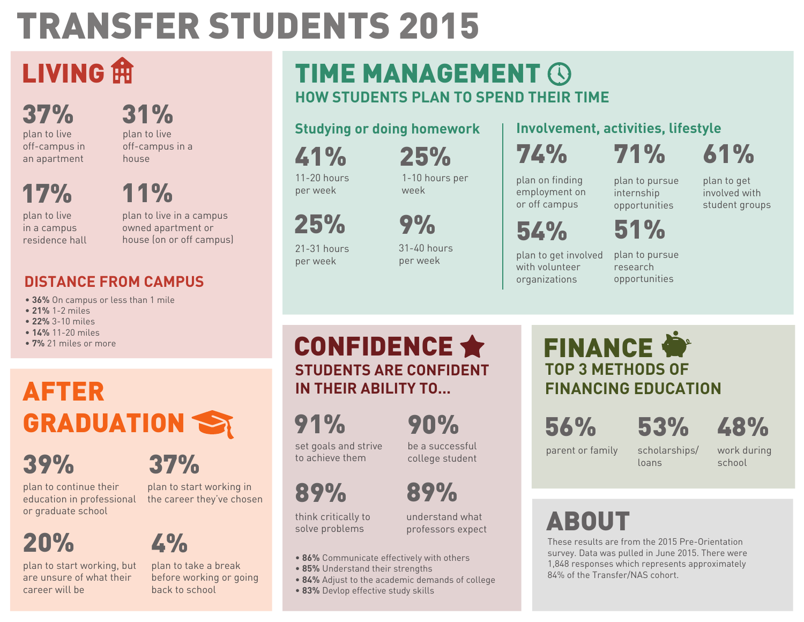# TRANSFER STUDENTS 2015

## LIVING<sup><sub>ffl</sub></sup>

37% plan to live off-campus in an apartment 31%

plan to live off-campus in a house

11%

17%

plan to live in a campus residence hall

plan to live in a campus owned apartment or house (on or off campus)

### **DISTANCE FROM CAMPUS**

- **36%** On campus or less than 1 mile
- **21%** 1-2 miles
- **22%** 3-10 miles
- **14%** 11-20 miles
- **7%** 21 miles or more

## AFTER GRADUATION S

## 39%

plan to continue their education in professional

## 20%

plan to start working, but are unsure of what their career will be

## 37%

plan to start working in the career they've chosen

4% plan to take a break

before working or going back to school

### **HOW STUDENTS PLAN TO SPEND THEIR TIME** TIME MANAGEMENT **G**

### **Studying or doing homework**

41% 11-20 hours

per week

25%

21-31 hours per week

25% 1-10 hours per

week

9%

31-40 hours per week

#### **Involvement, activities, lifestyle**

74%

71%

61%

plan on finding employment on or off campus

plan to pursue internship opportunities

51%

plan to get involved with student groups

54%

plan to get involved with volunteer organizations

plan to pursue research opportunities

### **STUDENTS ARE CONFIDENT IN THEIR ABILITY TO...** CONFIDENCE ★

91%

90%

be a successful college student

think critically to solve problems

understand what professors expect

- **86%** Communicate effectively with others
- **85%** Understand their strengths
- **84%** Adjust to the academic demands of college
- **83%** Devlop effective study skills

### **TOP 3 METHODS OF FINANCING EDUCATION FINANCE**

56%

53%

parent or family

scholarships/

work during school

48%

## or graduate school example and think critically to a understand what and  $\bullet$  **ABOUT**

These results are from the 2015 Pre-Orientation survey. Data was pulled in June 2015. There were 1,848 responses which represents approximately 84% of the Transfer/NAS cohort.

89% set goals and strive to achieve them

89%

loans